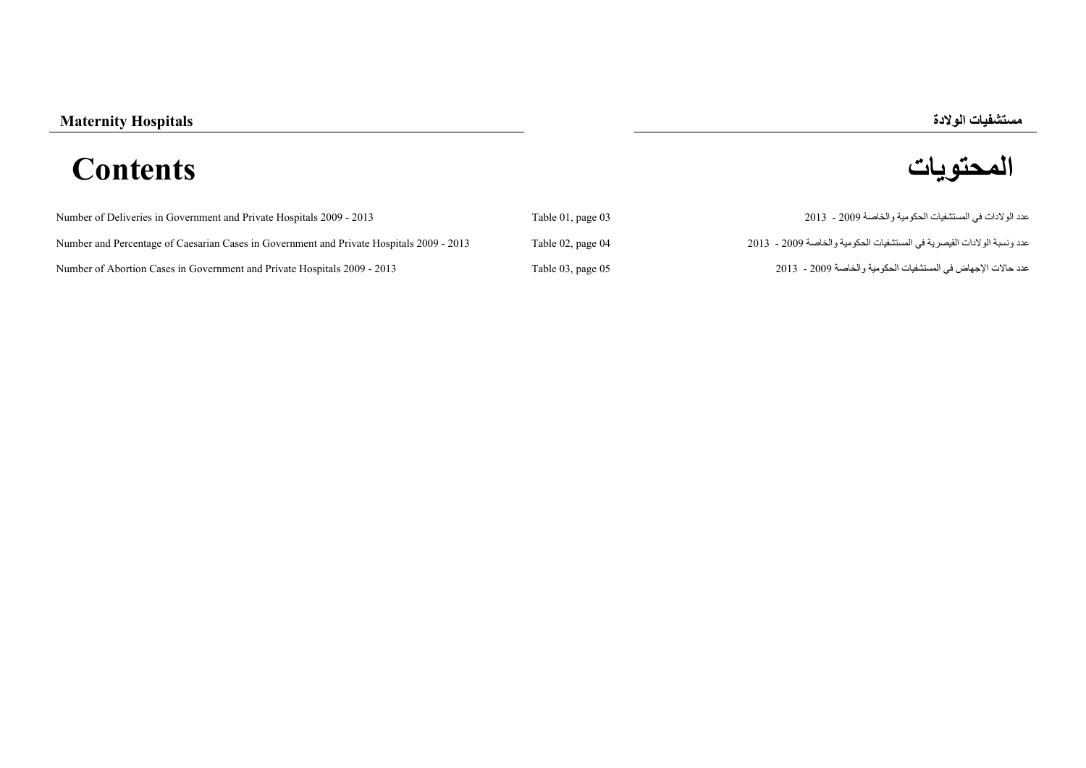## **مستشفيات الوالدة Hospitals Maternity المحتويات Contents**

| Number of Deliveries in Government and Private Hospitals 2009 - 2013                     | Table 01, page 03 | عدد الولادات في المستشفيات الحكومية والخاصة 2009 - 2013                |
|------------------------------------------------------------------------------------------|-------------------|------------------------------------------------------------------------|
| Number and Percentage of Caesarian Cases in Government and Private Hospitals 2009 - 2013 | Table 02, page 04 | عدد ونسبة الولادات القيصرية في المستشفيات الحكومية والخاصة 2009 - 2013 |
| Number of Abortion Cases in Government and Private Hospitals 2009 - 2013                 | Table 03, page 05 | عدد حالات الإجهاض في المستشفيات الحكومية والخاصة 2009 - 2013           |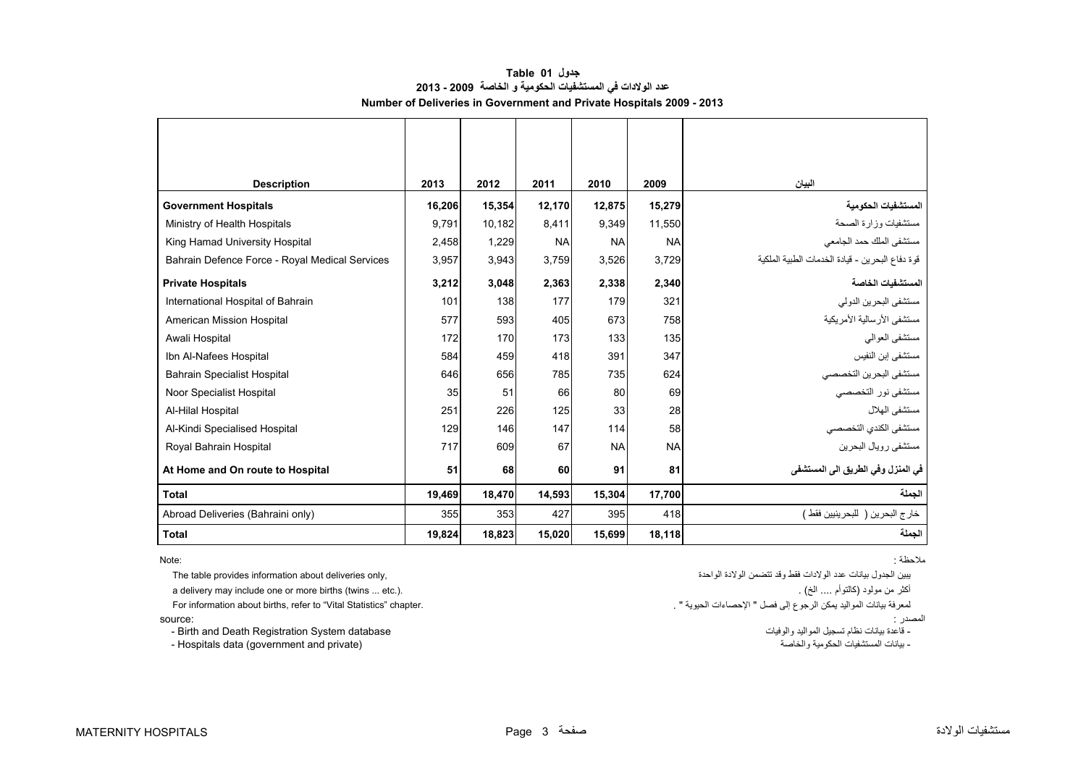## **جدول 01 Table عدد الوالدات في المستشفيات الحكومية <sup>و</sup> الخاصة 2009 - 2013 Number of Deliveries in Government and Private Hospitals 2009 - 2013**

<span id="page-1-0"></span>

| <b>Description</b>                             | 2013   | 2012   | 2011      | 2010      | 2009      | البيان                                          |
|------------------------------------------------|--------|--------|-----------|-----------|-----------|-------------------------------------------------|
| <b>Government Hospitals</b>                    | 16,206 | 15,354 | 12,170    | 12,875    | 15,279    | المستشفيات الحكومية                             |
|                                                |        |        |           |           |           |                                                 |
| Ministry of Health Hospitals                   | 9,791  | 10,182 | 8,411     | 9,349     | 11,550    | مستشفيات وزارة الصحة                            |
| King Hamad University Hospital                 | 2,458  | 1,229  | <b>NA</b> | <b>NA</b> | <b>NA</b> | مستشفى الملك حمد الجامعي                        |
| Bahrain Defence Force - Royal Medical Services | 3,957  | 3,943  | 3,759     | 3,526     | 3,729     | قوة دفاع البحرين - قيادة الخدمات الطبية الملكية |
| <b>Private Hospitals</b>                       | 3,212  | 3,048  | 2,363     | 2,338     | 2,340     | المستشفيات الخاصة                               |
| International Hospital of Bahrain              | 101    | 138    | 177       | 179       | 321       | مستشفى البحرين الدولي                           |
| American Mission Hospital                      | 577    | 593    | 405       | 673       | 758       | مستشفى الأرسالية الأمريكية                      |
| Awali Hospital                                 | 172    | 170    | 173       | 133       | 135       | مستشفى العوالى                                  |
| Ibn Al-Nafees Hospital                         | 584    | 459    | 418       | 391       | 347       | مستشفى إبن النفيس                               |
| <b>Bahrain Specialist Hospital</b>             | 646    | 656    | 785       | 735       | 624       | مستشفى البحرين التخصصي                          |
| Noor Specialist Hospital                       | 35     | 51     | 66        | 80        | 69        | مستشفى نور التخصصي                              |
| Al-Hilal Hospital                              | 251    | 226    | 125       | 33        | 28        | مستشفى الهلال                                   |
| Al-Kindi Specialised Hospital                  | 129    | 146    | 147       | 114       | 58        | مستشفى الكندي التخصصى                           |
| Royal Bahrain Hospital                         | 717    | 609    | 67        | <b>NA</b> | <b>NA</b> | مستشفى رويال البحرين                            |
| At Home and On route to Hospital               | 51     | 68     | 60        | 91        | 81        | في المنزل وفي الطريق الي المستشفي               |
| <b>Total</b>                                   | 19,469 | 18,470 | 14,593    | 15,304    | 17,700    | الحملة                                          |
| Abroad Deliveries (Bahraini only)              | 355    | 353    | 427       | 395       | 418       | خارج البحرين ( للبحر ينيين فقط )                |
| <b>Total</b>                                   | 19,824 | 18,823 | 15,020    | 15,699    | 18,118    | الحملة                                          |

المصدر : :source

- Birth and Death Registration System database

مالحظة : :Note

يبين الجدول بيانات عدد الولادات فقط وقد تتضمن الولادة الواحدة (محمدة ,only deliveries only deliveries only deliveries only deliveries only deliveries only deliveries only deliveries only a delivery may include one or more births (twins ... etc.). . (الخ .... كالتوأم (مولود من أكثر لمعرفة بيانات المواليد يمكن الرجوع إلى فصل " اإلحصاءات الحيوية " . .chapter" Statistics Vital "to refer ,births about information For ر .<br>- قاعدة بيانات نظام تسجيل المواليد والوفيات - Hospitals data (government and private) والخاصة الحكومية والخاصة الحكومية والخاصة الحكومية والخاصة المستشفيات بيانات المستشفيات الحكومية والخاصة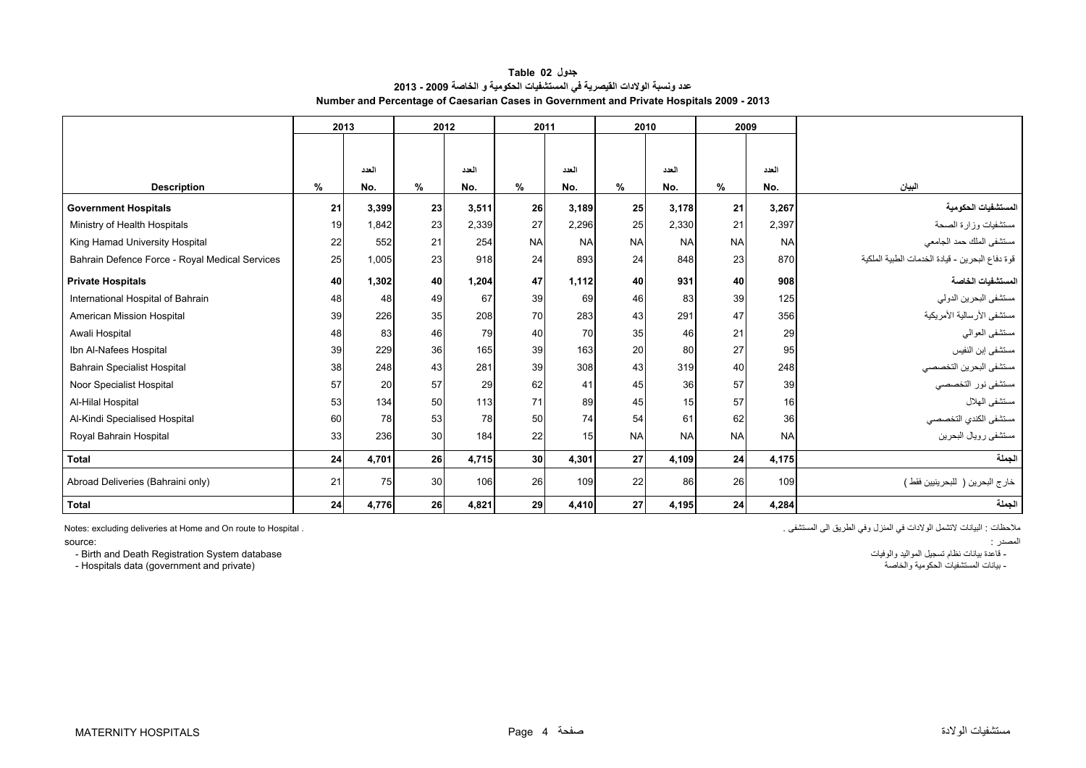| جدول Table 02                                                                            |
|------------------------------------------------------------------------------------------|
| عدد ونسبة الولادات القيصرية في المستشفيات الحكومية و الخاصة 2009 - 2013                  |
| Number and Percentage of Caesarian Cases in Government and Private Hospitals 2009 - 2013 |

<span id="page-2-0"></span>

|                                                | 2013 |       | 2012 |       | 2011            |           | 2010            |           | 2009      |           |                                                 |
|------------------------------------------------|------|-------|------|-------|-----------------|-----------|-----------------|-----------|-----------|-----------|-------------------------------------------------|
|                                                |      |       |      |       |                 |           |                 |           |           |           |                                                 |
|                                                |      | العدد |      | العدد |                 | العدد     |                 | العدد     |           | العدد     |                                                 |
| <b>Description</b>                             | %    | No.   | %    | No.   | %               | No.       | %               | No.       | %         | No.       | البيان                                          |
| <b>Government Hospitals</b>                    | 21   | 3,399 | 23   | 3.511 | <b>26</b>       | 3,189     | 25              | 3.178     | 21        | 3,267     | المستشفيات الحكومية                             |
|                                                | 19   | 1.842 | 23   | 2,339 | 27              | 2,296     | 25              | 2,330     | 21        | 2,397     |                                                 |
| Ministry of Health Hospitals                   |      |       |      |       |                 |           |                 |           |           |           | مستشفيات وزارة الصحة                            |
| King Hamad University Hospital                 | 22   | 552   | 21   | 254   | <b>NA</b>       | <b>NA</b> | <b>NA</b>       | <b>NA</b> | <b>NA</b> | <b>NA</b> | مستشفى الملك حمد الجامعي                        |
| Bahrain Defence Force - Royal Medical Services | 25   | 1,005 | 23   | 918   | 24              | 893       | 24              | 848       | 23        | 870       | قوة دفاع البحرين - قيادة الخدمات الطبية الملكية |
| <b>Private Hospitals</b>                       | 40   | 1,302 | 40   | 1,204 | 47              | 1,112     | 40              | 931       | 40        | 908       | المستشفيات الخاصة                               |
| International Hospital of Bahrain              | 48   | 48    | 49   | 67    | 39              | 69        | 46              | 83        | 39        | 125       | مستشفى البحرين الدولي                           |
| American Mission Hospital                      | 39   | 226   | 35   | 208   | 70              | 283       | 43              | 291       | 47        | 356       | مستشفى الأرسالية الأمريكية                      |
| Awali Hospital                                 | 48   | 83    | 46   | 79    | 40              | 70        | 35              | 46        | 21        | 29        | مستشفى العوالي                                  |
| Ibn Al-Nafees Hospital                         | 39   | 229   | 36   | 165   | 39              | 163       | 20              | 80        | 27        | 95        | مستشفى إبن النفيس                               |
| <b>Bahrain Specialist Hospital</b>             | 38   | 248   | 43   | 281   | 39              | 308       | 43              | 319       | 40        | 248       | مستشفى البحرين التخصصي                          |
| Noor Specialist Hospital                       | 57   | 20    | 57   | 29    | 62              | 41        | 45              | 36        | 57        | 39        | مستشفى نور التخصصي                              |
| Al-Hilal Hospital                              | 53   | 134   | 50   | 113   | 71              | 89        | 45              | 15        | 57        | 16        | مستشفى الهلال                                   |
| Al-Kindi Specialised Hospital                  | 60   | 78    | 53   | 78    | 50              | 74        | 54              | 61        | 62        | 36        | مستشفى الكندي التخصصي                           |
| Royal Bahrain Hospital                         | 33   | 236   | 30   | 184   | 22              | 15        | <b>NA</b>       | <b>NA</b> | <b>NA</b> | <b>NA</b> | مستشفى رويال البحرين                            |
| <b>Total</b>                                   | 24   | 4,701 | 26   | 4,715 | 30 <sup>1</sup> | 4,301     | 27              | 4,109     | 24        | 4,175     | الجملة                                          |
| Abroad Deliveries (Bahraini only)              | 21   | 75    | 30   | 106   | 26              | 109       | 22              | 86        | 26        | 109       | خار ج البحرين (   للبحر ينيين فقط )             |
| <b>Total</b>                                   | 24   | 4,776 | 26   | 4,821 | 29              | 4,410     | 27 <sup>1</sup> | 4,195     | 24        | 4.284     | الجملة                                          |

ملاحظات : البيانات لاتشمل الولادات في المنزل وفي الطريق الى المستشفى .

المصدر : :source \_\_\_<br>- قاعدة بيانات نظام تسجيل المواليد والوفيات<br>- بيانات المستشفيات الحكومية والخاصمة

- Birth and Death Registration System database

Notes: excluding deliveries at Home and On route to Hospital .

- Hospitals data (government and private)